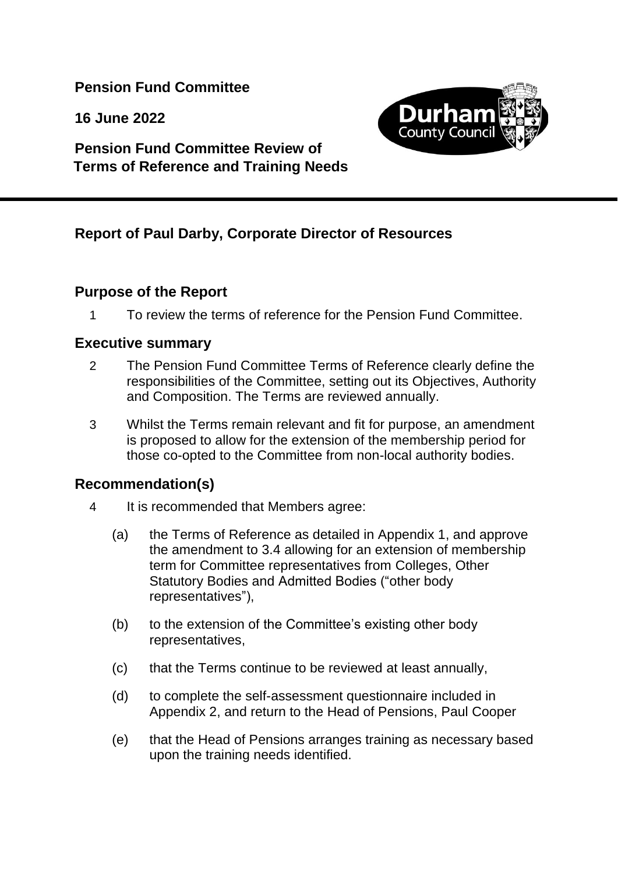**Pension Fund Committee**

**16 June 2022**



# **Pension Fund Committee Review of Terms of Reference and Training Needs**

# **Report of Paul Darby, Corporate Director of Resources**

## **Purpose of the Report**

1 To review the terms of reference for the Pension Fund Committee.

#### **Executive summary**

- 2 The Pension Fund Committee Terms of Reference clearly define the responsibilities of the Committee, setting out its Objectives, Authority and Composition. The Terms are reviewed annually.
- 3 Whilst the Terms remain relevant and fit for purpose, an amendment is proposed to allow for the extension of the membership period for those co-opted to the Committee from non-local authority bodies.

## **Recommendation(s)**

- 4 It is recommended that Members agree:
	- (a) the Terms of Reference as detailed in Appendix 1, and approve the amendment to 3.4 allowing for an extension of membership term for Committee representatives from Colleges, Other Statutory Bodies and Admitted Bodies ("other body representatives"),
	- (b) to the extension of the Committee's existing other body representatives,
	- (c) that the Terms continue to be reviewed at least annually,
	- (d) to complete the self-assessment questionnaire included in Appendix 2, and return to the Head of Pensions, Paul Cooper
	- (e) that the Head of Pensions arranges training as necessary based upon the training needs identified.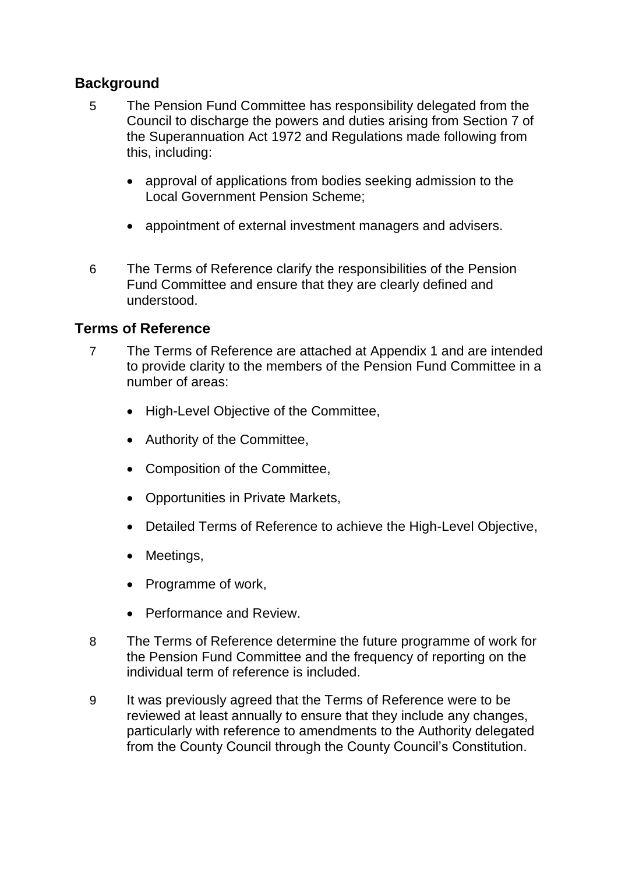## **Background**

- 5 The Pension Fund Committee has responsibility delegated from the Council to discharge the powers and duties arising from Section 7 of the Superannuation Act 1972 and Regulations made following from this, including:
	- approval of applications from bodies seeking admission to the Local Government Pension Scheme;
	- appointment of external investment managers and advisers.
- 6 The Terms of Reference clarify the responsibilities of the Pension Fund Committee and ensure that they are clearly defined and understood.

#### **Terms of Reference**

- 7 The Terms of Reference are attached at Appendix 1 and are intended to provide clarity to the members of the Pension Fund Committee in a number of areas:
	- High-Level Objective of the Committee,
	- Authority of the Committee,
	- Composition of the Committee,
	- Opportunities in Private Markets.
	- Detailed Terms of Reference to achieve the High-Level Objective,
	- Meetings,
	- Programme of work,
	- Performance and Review.
- 8 The Terms of Reference determine the future programme of work for the Pension Fund Committee and the frequency of reporting on the individual term of reference is included.
- 9 It was previously agreed that the Terms of Reference were to be reviewed at least annually to ensure that they include any changes, particularly with reference to amendments to the Authority delegated from the County Council through the County Council's Constitution.